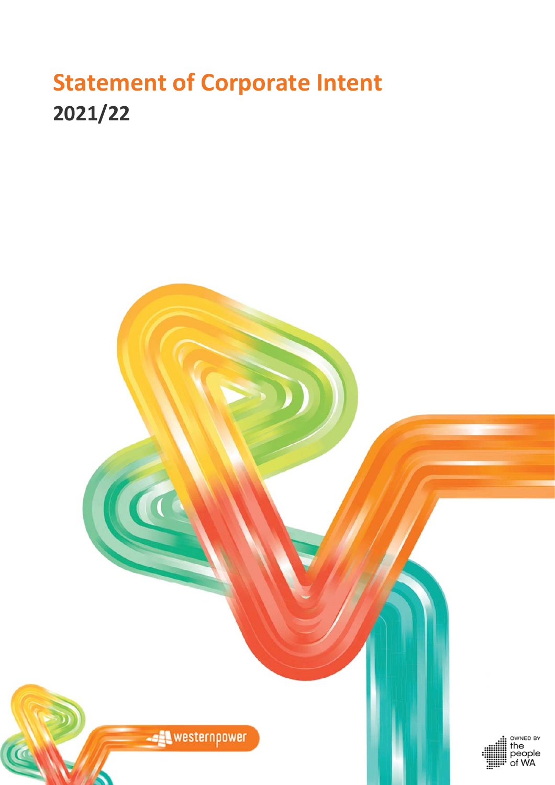# **Statement of Corporate Intent 2021/22**

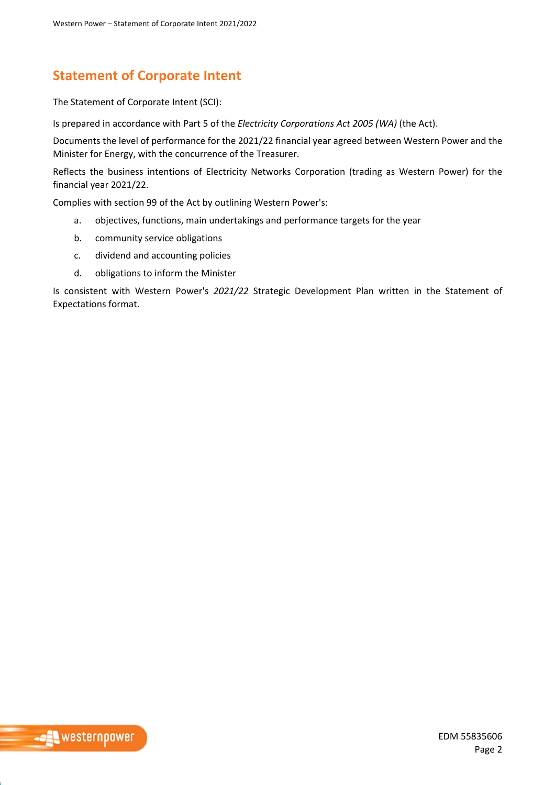## **Statement of Corporate Intent**

The Statement of Corporate Intent (SCI):

Is prepared in accordance with Part 5 of the *Electricity Corporations Act 2005 (WA)* (the Act).

Documents the level of performance for the 2021/22 financial year agreed between Western Power and the Minister for Energy, with the concurrence of the Treasurer.

Reflects the business intentions of Electricity Networks Corporation (trading as Western Power) for the financial year 2021/22.

Complies with section 99 of the Act by outlining Western Power's:

- a. objectives, functions, main undertakings and performance targets for the year
- b. community service obligations
- c. dividend and accounting policies
- d. obligations to inform the Minister

Is consistent with Western Power's *2021/22* Strategic Development Plan written in the Statement of Expectations format.

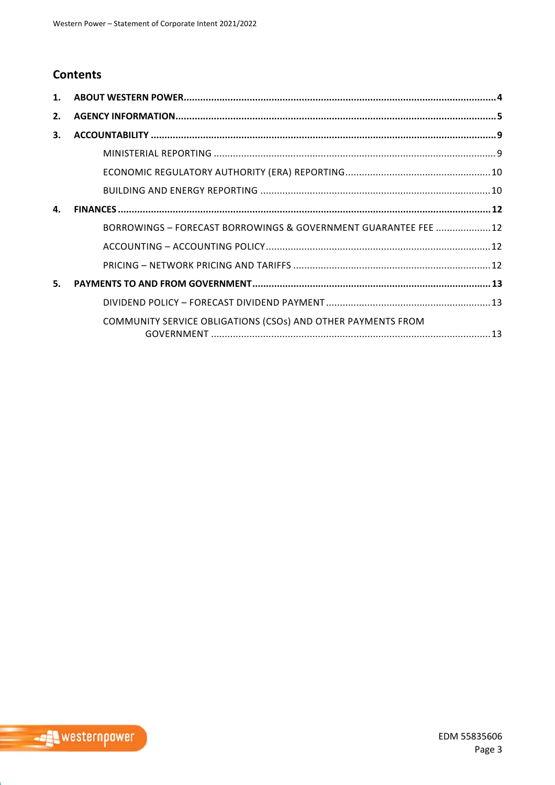## **Contents**

| $\mathbf{1}$ . |                                                                 |  |
|----------------|-----------------------------------------------------------------|--|
| 2.             |                                                                 |  |
| 3.             |                                                                 |  |
|                |                                                                 |  |
|                |                                                                 |  |
|                |                                                                 |  |
| 4.             |                                                                 |  |
|                | BORROWINGS - FORECAST BORROWINGS & GOVERNMENT GUARANTEE FEE  12 |  |
|                |                                                                 |  |
|                |                                                                 |  |
| 5.             |                                                                 |  |
|                |                                                                 |  |
|                | COMMUNITY SERVICE OBLIGATIONS (CSOs) AND OTHER PAYMENTS FROM    |  |
|                |                                                                 |  |

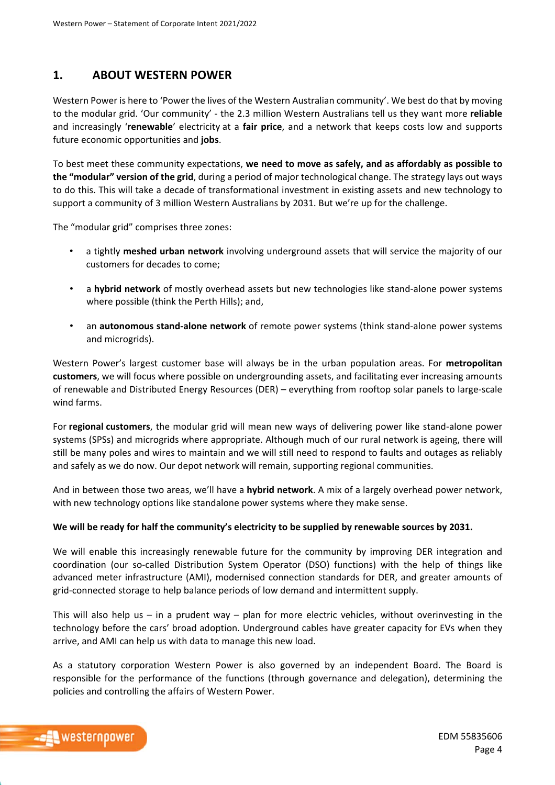## **1. ABOUT WESTERN POWER**

Western Power is here to 'Power the lives of the Western Australian community'. We best do that by moving to the modular grid. 'Our community' ‐ the 2.3 million Western Australians tell us they want more **reliable** and increasingly '**renewable**' electricity at a **fair price**, and a network that keeps costs low and supports future economic opportunities and **jobs**.

To best meet these community expectations, **we need to move as safely, and as affordably as possible to the "modular" version of the grid**, during a period of major technological change. The strategy lays out ways to do this. This will take a decade of transformational investment in existing assets and new technology to support a community of 3 million Western Australians by 2031. But we're up for the challenge.

The "modular grid" comprises three zones:

- a tightly **meshed urban network** involving underground assets that will service the majority of our customers for decades to come;
- a **hybrid network** of mostly overhead assets but new technologies like stand‐alone power systems where possible (think the Perth Hills); and,
- an **autonomous stand‐alone network** of remote power systems (think stand‐alone power systems and microgrids).

Western Power's largest customer base will always be in the urban population areas. For **metropolitan customers**, we will focus where possible on undergrounding assets, and facilitating ever increasing amounts of renewable and Distributed Energy Resources (DER) – everything from rooftop solar panels to large‐scale wind farms.

For **regional customers**, the modular grid will mean new ways of delivering power like stand‐alone power systems (SPSs) and microgrids where appropriate. Although much of our rural network is ageing, there will still be many poles and wires to maintain and we will still need to respond to faults and outages as reliably and safely as we do now. Our depot network will remain, supporting regional communities.

And in between those two areas, we'll have a **hybrid network**. A mix of a largely overhead power network, with new technology options like standalone power systems where they make sense.

#### **We will be ready for half the community's electricity to be supplied by renewable sources by 2031.**

We will enable this increasingly renewable future for the community by improving DER integration and coordination (our so‐called Distribution System Operator (DSO) functions) with the help of things like advanced meter infrastructure (AMI), modernised connection standards for DER, and greater amounts of grid‐connected storage to help balance periods of low demand and intermittent supply.

This will also help us  $-$  in a prudent way  $-$  plan for more electric vehicles, without overinvesting in the technology before the cars' broad adoption. Underground cables have greater capacity for EVs when they arrive, and AMI can help us with data to manage this new load.

As a statutory corporation Western Power is also governed by an independent Board. The Board is responsible for the performance of the functions (through governance and delegation), determining the policies and controlling the affairs of Western Power.

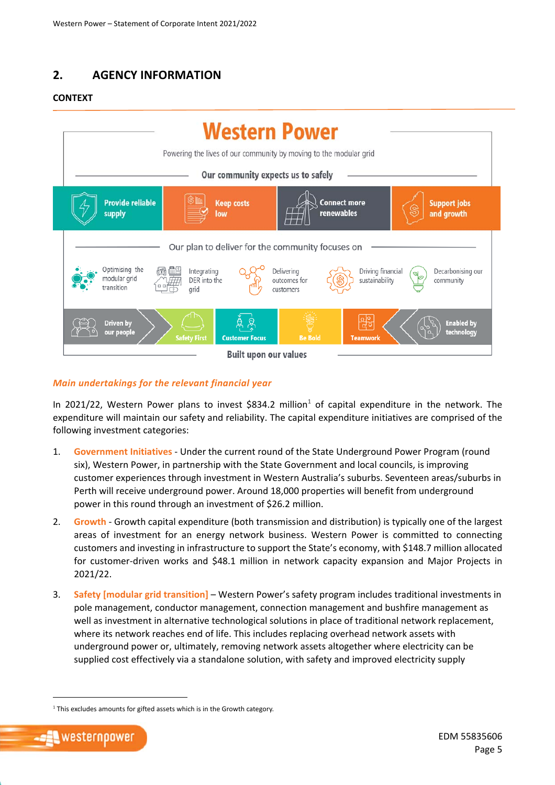## **2. AGENCY INFORMATION**

#### **CONTEXT**



#### *Main undertakings for the relevant financial year*

In 2021/22, Western Power plans to invest \$834.2 million<sup>1</sup> of capital expenditure in the network. The expenditure will maintain our safety and reliability. The capital expenditure initiatives are comprised of the following investment categories:

- 1. **Government Initiatives** ‐ Under the current round of the State Underground Power Program (round six), Western Power, in partnership with the State Government and local councils, is improving customer experiences through investment in Western Australia's suburbs. Seventeen areas/suburbs in Perth will receive underground power. Around 18,000 properties will benefit from underground power in this round through an investment of \$26.2 million.
- 2. **Growth** ‐ Growth capital expenditure (both transmission and distribution) is typically one of the largest areas of investment for an energy network business. Western Power is committed to connecting customers and investing in infrastructure to support the State's economy, with \$148.7 million allocated for customer-driven works and \$48.1 million in network capacity expansion and Major Projects in 2021/22.
- 3. **Safety [modular grid transition]** Western Power's safety program includes traditional investments in pole management, conductor management, connection management and bushfire management as well as investment in alternative technological solutions in place of traditional network replacement, where its network reaches end of life. This includes replacing overhead network assets with underground power or, ultimately, removing network assets altogether where electricity can be supplied cost effectively via a standalone solution, with safety and improved electricity supply

 $<sup>1</sup>$  This excludes amounts for gifted assets which is in the Growth category.</sup>

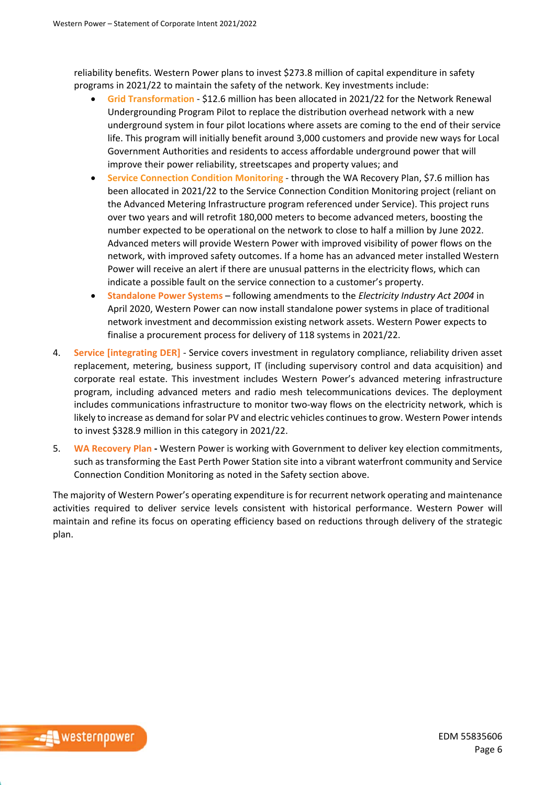reliability benefits. Western Power plans to invest \$273.8 million of capital expenditure in safety programs in 2021/22 to maintain the safety of the network. Key investments include:

- **Grid Transformation** ‐ \$12.6 million has been allocated in 2021/22 for the Network Renewal Undergrounding Program Pilot to replace the distribution overhead network with a new underground system in four pilot locations where assets are coming to the end of their service life. This program will initially benefit around 3,000 customers and provide new ways for Local Government Authorities and residents to access affordable underground power that will improve their power reliability, streetscapes and property values; and
- **Service Connection Condition Monitoring** ‐ through the WA Recovery Plan, \$7.6 million has been allocated in 2021/22 to the Service Connection Condition Monitoring project (reliant on the Advanced Metering Infrastructure program referenced under Service). This project runs over two years and will retrofit 180,000 meters to become advanced meters, boosting the number expected to be operational on the network to close to half a million by June 2022. Advanced meters will provide Western Power with improved visibility of power flows on the network, with improved safety outcomes. If a home has an advanced meter installed Western Power will receive an alert if there are unusual patterns in the electricity flows, which can indicate a possible fault on the service connection to a customer's property.
- **Standalone Power Systems**  following amendments to the *Electricity Industry Act 2004* in April 2020, Western Power can now install standalone power systems in place of traditional network investment and decommission existing network assets. Western Power expects to finalise a procurement process for delivery of 118 systems in 2021/22.
- 4. **Service [integrating DER]** ‐ Service covers investment in regulatory compliance, reliability driven asset replacement, metering, business support, IT (including supervisory control and data acquisition) and corporate real estate. This investment includes Western Power's advanced metering infrastructure program, including advanced meters and radio mesh telecommunications devices. The deployment includes communications infrastructure to monitor two-way flows on the electricity network, which is likely to increase as demand for solar PV and electric vehicles continues to grow. Western Power intends to invest \$328.9 million in this category in 2021/22.
- 5. **WA Recovery Plan ‐** Western Power is working with Government to deliver key election commitments, such as transforming the East Perth Power Station site into a vibrant waterfront community and Service Connection Condition Monitoring as noted in the Safety section above.

The majority of Western Power's operating expenditure is for recurrent network operating and maintenance activities required to deliver service levels consistent with historical performance. Western Power will maintain and refine its focus on operating efficiency based on reductions through delivery of the strategic plan.

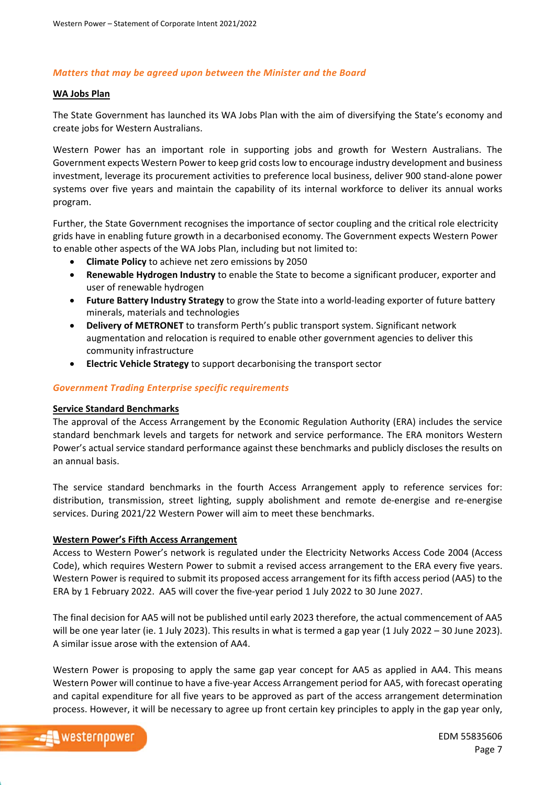#### *Matters that may be agreed upon between the Minister and the Board*

#### **WA Jobs Plan**

The State Government has launched its WA Jobs Plan with the aim of diversifying the State's economy and create jobs for Western Australians.

Western Power has an important role in supporting jobs and growth for Western Australians. The Government expects Western Power to keep grid costs low to encourage industry development and business investment, leverage its procurement activities to preference local business, deliver 900 stand‐alone power systems over five years and maintain the capability of its internal workforce to deliver its annual works program.

Further, the State Government recognises the importance of sector coupling and the critical role electricity grids have in enabling future growth in a decarbonised economy. The Government expects Western Power to enable other aspects of the WA Jobs Plan, including but not limited to:

- **Climate Policy** to achieve net zero emissions by 2050
- **Renewable Hydrogen Industry** to enable the State to become a significant producer, exporter and user of renewable hydrogen
- **Future Battery Industry Strategy** to grow the State into a world‐leading exporter of future battery minerals, materials and technologies
- **Delivery of METRONET** to transform Perth's public transport system. Significant network augmentation and relocation is required to enable other government agencies to deliver this community infrastructure
- **Electric Vehicle Strategy** to support decarbonising the transport sector

#### *Government Trading Enterprise specific requirements*

#### **Service Standard Benchmarks**

The approval of the Access Arrangement by the Economic Regulation Authority (ERA) includes the service standard benchmark levels and targets for network and service performance. The ERA monitors Western Power's actual service standard performance against these benchmarks and publicly discloses the results on an annual basis.

The service standard benchmarks in the fourth Access Arrangement apply to reference services for: distribution, transmission, street lighting, supply abolishment and remote de‐energise and re‐energise services. During 2021/22 Western Power will aim to meet these benchmarks.

#### **Western Power's Fifth Access Arrangement**

Access to Western Power's network is regulated under the Electricity Networks Access Code 2004 (Access Code), which requires Western Power to submit a revised access arrangement to the ERA every five years. Western Power is required to submit its proposed access arrangement for its fifth access period (AA5) to the ERA by 1 February 2022. AA5 will cover the five‐year period 1 July 2022 to 30 June 2027.

The final decision for AA5 will not be published until early 2023 therefore, the actual commencement of AA5 will be one year later (ie. 1 July 2023). This results in what is termed a gap year (1 July 2022 – 30 June 2023). A similar issue arose with the extension of AA4.

Western Power is proposing to apply the same gap year concept for AA5 as applied in AA4. This means Western Power will continue to have a five‐year Access Arrangement period for AA5, with forecast operating and capital expenditure for all five years to be approved as part of the access arrangement determination process. However, it will be necessary to agree up front certain key principles to apply in the gap year only,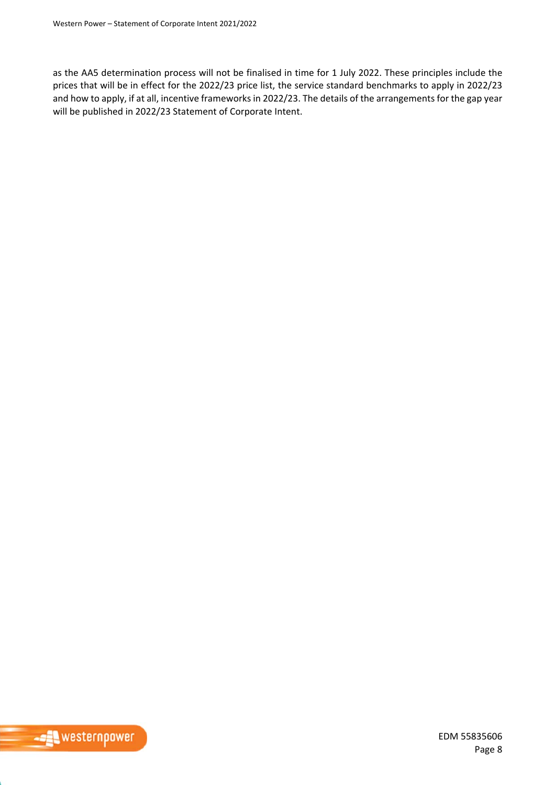as the AA5 determination process will not be finalised in time for 1 July 2022. These principles include the prices that will be in effect for the 2022/23 price list, the service standard benchmarks to apply in 2022/23 and how to apply, if at all, incentive frameworks in 2022/23. The details of the arrangements for the gap year will be published in 2022/23 Statement of Corporate Intent.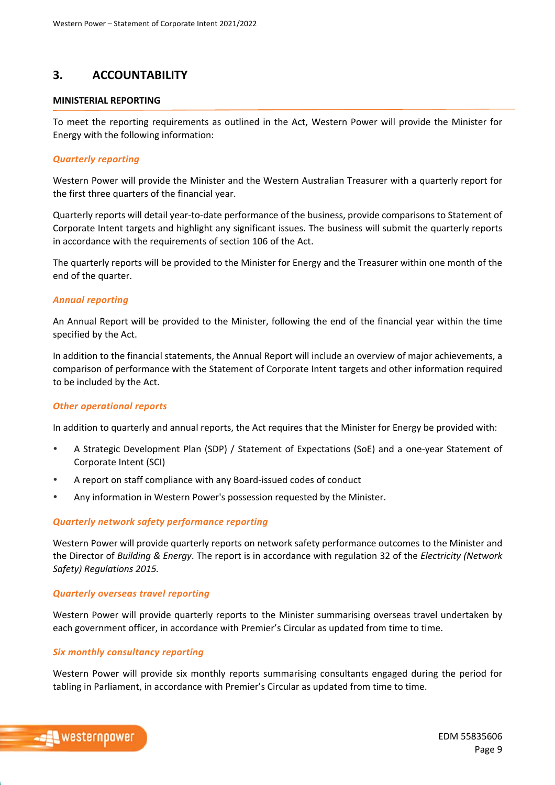## **3. ACCOUNTABILITY**

#### **MINISTERIAL REPORTING**

To meet the reporting requirements as outlined in the Act, Western Power will provide the Minister for Energy with the following information:

#### *Quarterly reporting*

Western Power will provide the Minister and the Western Australian Treasurer with a quarterly report for the first three quarters of the financial year.

Quarterly reports will detail year‐to‐date performance of the business, provide comparisons to Statement of Corporate Intent targets and highlight any significant issues. The business will submit the quarterly reports in accordance with the requirements of section 106 of the Act.

The quarterly reports will be provided to the Minister for Energy and the Treasurer within one month of the end of the quarter.

#### *Annual reporting*

An Annual Report will be provided to the Minister, following the end of the financial year within the time specified by the Act.

In addition to the financial statements, the Annual Report will include an overview of major achievements, a comparison of performance with the Statement of Corporate Intent targets and other information required to be included by the Act.

#### *Other operational reports*

In addition to quarterly and annual reports, the Act requires that the Minister for Energy be provided with:

- A Strategic Development Plan (SDP) / Statement of Expectations (SoE) and a one‐year Statement of Corporate Intent (SCI)
- A report on staff compliance with any Board‐issued codes of conduct
- Any information in Western Power's possession requested by the Minister.

#### *Quarterly network safety performance reporting*

Western Power will provide quarterly reports on network safety performance outcomes to the Minister and the Director of *Building & Energy*. The report is in accordance with regulation 32 of the *Electricity (Network Safety) Regulations 2015.* 

#### *Quarterly overseas travel reporting*

Western Power will provide quarterly reports to the Minister summarising overseas travel undertaken by each government officer, in accordance with Premier's Circular as updated from time to time.

#### *Six monthly consultancy reporting*

Western Power will provide six monthly reports summarising consultants engaged during the period for tabling in Parliament, in accordance with Premier's Circular as updated from time to time.

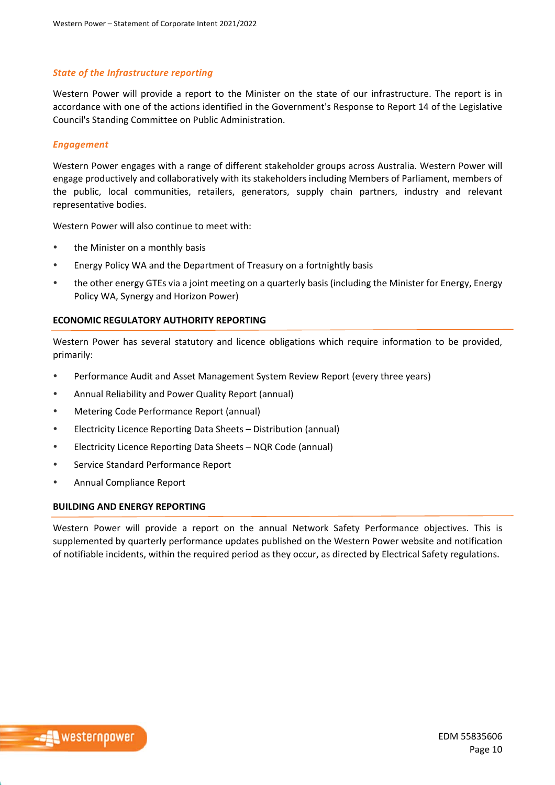#### *State of the Infrastructure reporting*

Western Power will provide a report to the Minister on the state of our infrastructure. The report is in accordance with one of the actions identified in the Government's Response to Report 14 of the Legislative Council's Standing Committee on Public Administration.

#### *Engagement*

Western Power engages with a range of different stakeholder groups across Australia. Western Power will engage productively and collaboratively with its stakeholders including Members of Parliament, members of the public, local communities, retailers, generators, supply chain partners, industry and relevant representative bodies.

Western Power will also continue to meet with:

- the Minister on a monthly basis
- Energy Policy WA and the Department of Treasury on a fortnightly basis
- the other energy GTEs via a joint meeting on a quarterly basis (including the Minister for Energy, Energy Policy WA, Synergy and Horizon Power)

#### **ECONOMIC REGULATORY AUTHORITY REPORTING**

Western Power has several statutory and licence obligations which require information to be provided, primarily:

- Performance Audit and Asset Management System Review Report (every three years)
- Annual Reliability and Power Quality Report (annual)
- Metering Code Performance Report (annual)
- Electricity Licence Reporting Data Sheets Distribution (annual)
- Electricity Licence Reporting Data Sheets NQR Code (annual)
- Service Standard Performance Report
- Annual Compliance Report

#### **BUILDING AND ENERGY REPORTING**

Western Power will provide a report on the annual Network Safety Performance objectives. This is supplemented by quarterly performance updates published on the Western Power website and notification of notifiable incidents, within the required period as they occur, as directed by Electrical Safety regulations.

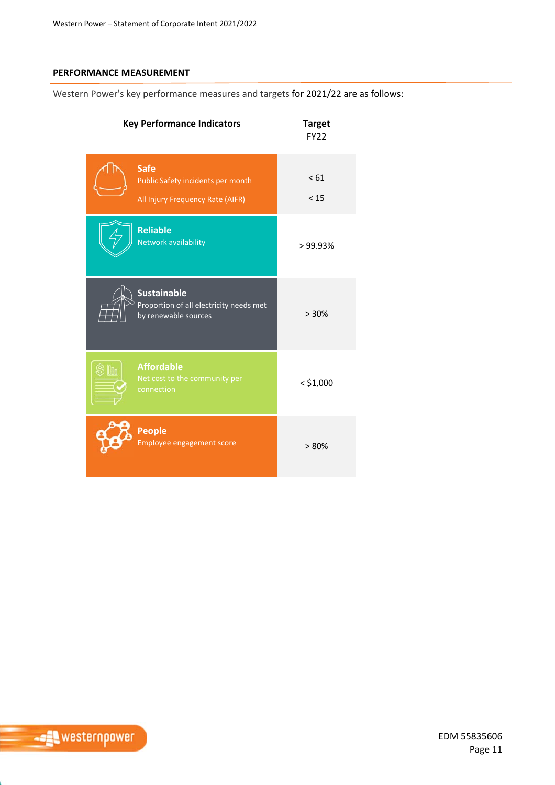### **PERFORMANCE MEASUREMENT**

Western Power's key performance measures and targets for 2021/22 are as follows:

| <b>Key Performance Indicators</b>                                                     | <b>Target</b><br><b>FY22</b> |
|---------------------------------------------------------------------------------------|------------------------------|
| <b>Safe</b><br>Public Safety incidents per month<br>All Injury Frequency Rate (AIFR)  | < 61<br>< 15                 |
| <b>Reliable</b><br>Network availability                                               | >99.93%                      |
| <b>Sustainable</b><br>Proportion of all electricity needs met<br>by renewable sources | > 30%                        |
| <b>Affordable</b><br>Net cost to the community per<br>connection                      | $<$ \$1,000                  |
| <b>People</b><br>Employee engagement score                                            | > 80%                        |

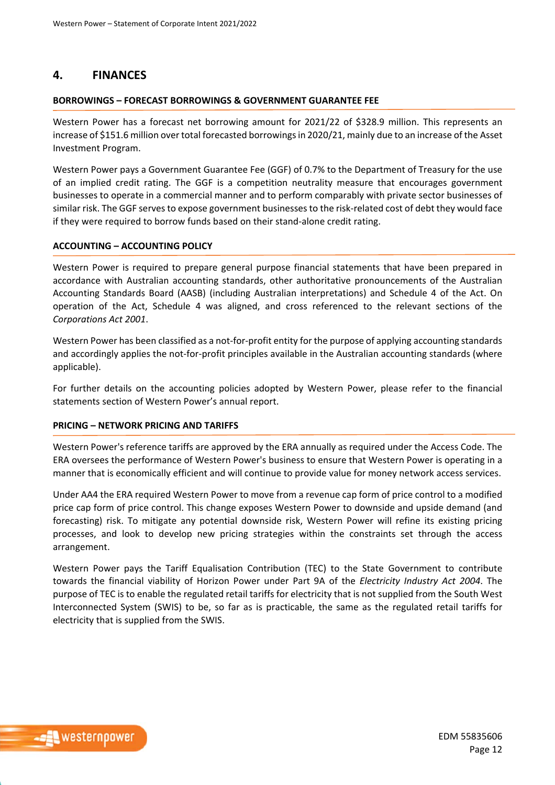## **4. FINANCES**

#### **BORROWINGS – FORECAST BORROWINGS & GOVERNMENT GUARANTEE FEE**

Western Power has a forecast net borrowing amount for 2021/22 of \$328.9 million. This represents an increase of \$151.6 million over total forecasted borrowings in 2020/21, mainly due to an increase of the Asset Investment Program.

Western Power pays a Government Guarantee Fee (GGF) of 0.7% to the Department of Treasury for the use of an implied credit rating. The GGF is a competition neutrality measure that encourages government businesses to operate in a commercial manner and to perform comparably with private sector businesses of similar risk. The GGF serves to expose government businesses to the risk-related cost of debt they would face if they were required to borrow funds based on their stand‐alone credit rating.

#### **ACCOUNTING – ACCOUNTING POLICY**

Western Power is required to prepare general purpose financial statements that have been prepared in accordance with Australian accounting standards, other authoritative pronouncements of the Australian Accounting Standards Board (AASB) (including Australian interpretations) and Schedule 4 of the Act. On operation of the Act, Schedule 4 was aligned, and cross referenced to the relevant sections of the *Corporations Act 2001*.

Western Power has been classified as a not-for-profit entity for the purpose of applying accounting standards and accordingly applies the not-for-profit principles available in the Australian accounting standards (where applicable).

For further details on the accounting policies adopted by Western Power, please refer to the financial statements section of Western Power's annual report.

#### **PRICING – NETWORK PRICING AND TARIFFS**

Western Power's reference tariffs are approved by the ERA annually as required under the Access Code. The ERA oversees the performance of Western Power's business to ensure that Western Power is operating in a manner that is economically efficient and will continue to provide value for money network access services.

Under AA4 the ERA required Western Power to move from a revenue cap form of price control to a modified price cap form of price control. This change exposes Western Power to downside and upside demand (and forecasting) risk. To mitigate any potential downside risk, Western Power will refine its existing pricing processes, and look to develop new pricing strategies within the constraints set through the access arrangement.

Western Power pays the Tariff Equalisation Contribution (TEC) to the State Government to contribute towards the financial viability of Horizon Power under Part 9A of the *Electricity Industry Act 2004*. The purpose of TEC is to enable the regulated retail tariffs for electricity that is not supplied from the South West Interconnected System (SWIS) to be, so far as is practicable, the same as the regulated retail tariffs for electricity that is supplied from the SWIS.

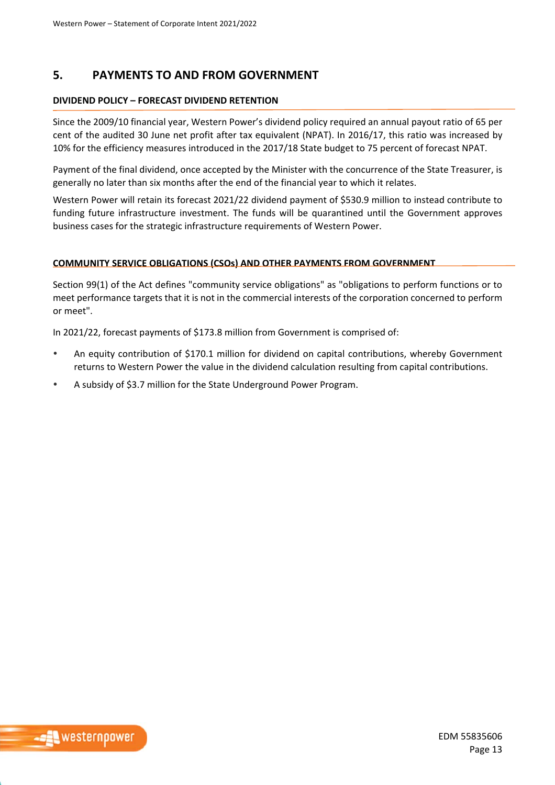## **5. PAYMENTS TO AND FROM GOVERNMENT**

#### **DIVIDEND POLICY – FORECAST DIVIDEND RETENTION**

Since the 2009/10 financial year, Western Power's dividend policy required an annual payout ratio of 65 per cent of the audited 30 June net profit after tax equivalent (NPAT). In 2016/17, this ratio was increased by 10% for the efficiency measures introduced in the 2017/18 State budget to 75 percent of forecast NPAT.

Payment of the final dividend, once accepted by the Minister with the concurrence of the State Treasurer, is generally no later than six months after the end of the financial year to which it relates.

Western Power will retain its forecast 2021/22 dividend payment of \$530.9 million to instead contribute to funding future infrastructure investment. The funds will be quarantined until the Government approves business cases for the strategic infrastructure requirements of Western Power.

#### **COMMUNITY SERVICE OBLIGATIONS (CSOs) AND OTHER PAYMENTS FROM GOVERNMENT**

Section 99(1) of the Act defines "community service obligations" as "obligations to perform functions or to meet performance targets that it is not in the commercial interests of the corporation concerned to perform or meet".

In 2021/22, forecast payments of \$173.8 million from Government is comprised of:

- An equity contribution of \$170.1 million for dividend on capital contributions, whereby Government returns to Western Power the value in the dividend calculation resulting from capital contributions.
- A subsidy of \$3.7 million for the State Underground Power Program.